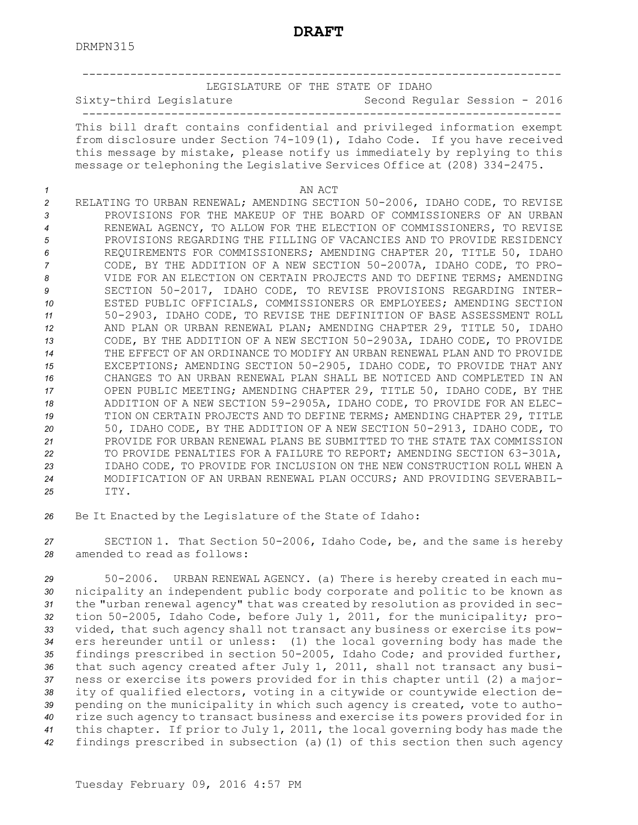|          | LEGISLATURE OF THE STATE OF IDAHO                                                                                                                                                                                                                                                                              |
|----------|----------------------------------------------------------------------------------------------------------------------------------------------------------------------------------------------------------------------------------------------------------------------------------------------------------------|
|          | Sixty-third Legislature<br>Second Regular Session - 2016                                                                                                                                                                                                                                                       |
|          | This bill draft contains confidential and privileged information exempt<br>from disclosure under Section 74-109(1), Idaho Code. If you have received<br>this message by mistake, please notify us immediately by replying to this<br>message or telephoning the Legislative Services Office at (208) 334-2475. |
| 1        | AN ACT                                                                                                                                                                                                                                                                                                         |
| 2        | RELATING TO URBAN RENEWAL; AMENDING SECTION 50-2006, IDAHO CODE, TO REVISE                                                                                                                                                                                                                                     |
| 3        | PROVISIONS FOR THE MAKEUP OF THE BOARD OF COMMISSIONERS OF AN URBAN                                                                                                                                                                                                                                            |
| 4        | RENEWAL AGENCY, TO ALLOW FOR THE ELECTION OF COMMISSIONERS, TO REVISE                                                                                                                                                                                                                                          |
| 5        | PROVISIONS REGARDING THE FILLING OF VACANCIES AND TO PROVIDE RESIDENCY                                                                                                                                                                                                                                         |
| 6        | REQUIREMENTS FOR COMMISSIONERS; AMENDING CHAPTER 20, TITLE 50, IDAHO                                                                                                                                                                                                                                           |
| 7        | CODE, BY THE ADDITION OF A NEW SECTION 50-2007A, IDAHO CODE, TO PRO-                                                                                                                                                                                                                                           |
| 8<br>9   | VIDE FOR AN ELECTION ON CERTAIN PROJECTS AND TO DEFINE TERMS; AMENDING<br>SECTION 50-2017, IDAHO CODE, TO REVISE PROVISIONS REGARDING INTER-                                                                                                                                                                   |
| 10       | ESTED PUBLIC OFFICIALS, COMMISSIONERS OR EMPLOYEES; AMENDING SECTION                                                                                                                                                                                                                                           |
| 11       | 50-2903, IDAHO CODE, TO REVISE THE DEFINITION OF BASE ASSESSMENT ROLL                                                                                                                                                                                                                                          |
| 12       | AND PLAN OR URBAN RENEWAL PLAN; AMENDING CHAPTER 29, TITLE 50, IDAHO                                                                                                                                                                                                                                           |
| 13       | CODE, BY THE ADDITION OF A NEW SECTION 50-2903A, IDAHO CODE, TO PROVIDE                                                                                                                                                                                                                                        |
| 14       | THE EFFECT OF AN ORDINANCE TO MODIFY AN URBAN RENEWAL PLAN AND TO PROVIDE                                                                                                                                                                                                                                      |
| 15       | EXCEPTIONS; AMENDING SECTION 50-2905, IDAHO CODE, TO PROVIDE THAT ANY                                                                                                                                                                                                                                          |
| 16<br>17 | CHANGES TO AN URBAN RENEWAL PLAN SHALL BE NOTICED AND COMPLETED IN AN<br>OPEN PUBLIC MEETING; AMENDING CHAPTER 29, TITLE 50, IDAHO CODE, BY THE                                                                                                                                                                |
| 18       | ADDITION OF A NEW SECTION 59-2905A, IDAHO CODE, TO PROVIDE FOR AN ELEC-                                                                                                                                                                                                                                        |
| 19       | TION ON CERTAIN PROJECTS AND TO DEFINE TERMS; AMENDING CHAPTER 29, TITLE                                                                                                                                                                                                                                       |
| 20       | 50, IDAHO CODE, BY THE ADDITION OF A NEW SECTION 50-2913, IDAHO CODE, TO                                                                                                                                                                                                                                       |
| 21       | PROVIDE FOR URBAN RENEWAL PLANS BE SUBMITTED TO THE STATE TAX COMMISSION                                                                                                                                                                                                                                       |
| 22       | TO PROVIDE PENALTIES FOR A FAILURE TO REPORT; AMENDING SECTION 63-301A,                                                                                                                                                                                                                                        |
| 23       | IDAHO CODE, TO PROVIDE FOR INCLUSION ON THE NEW CONSTRUCTION ROLL WHEN A<br>MODIFICATION OF AN URBAN RENEWAL PLAN OCCURS; AND PROVIDING SEVERABIL-                                                                                                                                                             |
| 24<br>25 | ITY.                                                                                                                                                                                                                                                                                                           |

*<sup>26</sup>* Be It Enacted by the Legislature of the State of Idaho:

*<sup>27</sup>* SECTION 1. That Section 50-2006, Idaho Code, be, and the same is hereby *28* amended to read as follows:

 50-2006. URBAN RENEWAL AGENCY. (a) There is hereby created in each mu- nicipality an independent public body corporate and politic to be known as the "urban renewal agency" that was created by resolution as provided in sec- tion 50-2005, Idaho Code, before July 1, 2011, for the municipality; pro- vided, that such agency shall not transact any business or exercise its pow- ers hereunder until or unless: (1) the local governing body has made the findings prescribed in section 50-2005, Idaho Code; and provided further, that such agency created after July 1, 2011, shall not transact any busi- ness or exercise its powers provided for in this chapter until (2) <sup>a</sup> major- ity of qualified electors, voting in <sup>a</sup> citywide or countywide election de- pending on the municipality in which such agency is created, vote to autho- rize such agency to transact business and exercise its powers provided for in this chapter. If prior to July 1, 2011, the local governing body has made the findings prescribed in subsection (a)(1) of this section then such agency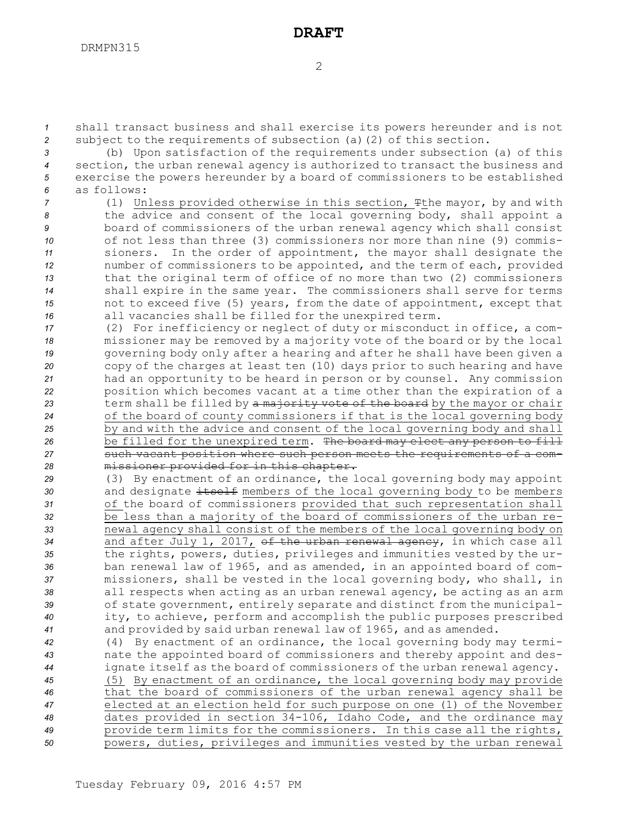*<sup>1</sup>* shall transact business and shall exercise its powers hereunder and is not *<sup>2</sup>* subject to the requirements of subsection (a)(2) of this section.

 (b) Upon satisfaction of the requirements under subsection (a) of this section, the urban renewal agency is authorized to transact the business and exercise the powers hereunder by <sup>a</sup> board of commissioners to be established as follows:

- *<sup>7</sup>* (1) Unless provided otherwise in this section, Tthe mayor, by and with *<sup>8</sup>* the advice and consent of the local governing body, shall appoint <sup>a</sup> *<sup>9</sup>* board of commissioners of the urban renewal agency which shall consist *10* of not less than three (3) commissioners nor more than nine (9) commis-*<sup>11</sup>* sioners. In the order of appointment, the mayor shall designate the *<sup>12</sup>* number of commissioners to be appointed, and the term of each, provided *<sup>13</sup>* that the original term of office of no more than two (2) commissioners *<sup>14</sup>* shall expire in the same year. The commissioners shall serve for terms *<sup>15</sup>* not to exceed five (5) years, from the date of appointment, except that *<sup>16</sup>* all vacancies shall be filled for the unexpired term.
- *<sup>17</sup>* (2) For inefficiency or neglect of duty or misconduct in office, <sup>a</sup> com-*<sup>18</sup>* missioner may be removed by <sup>a</sup> majority vote of the board or by the local *<sup>19</sup>* governing body only after <sup>a</sup> hearing and after he shall have been given <sup>a</sup> *<sup>20</sup>* copy of the charges at least ten (10) days prior to such hearing and have *<sup>21</sup>* had an opportunity to be heard in person or by counsel. Any commission *<sup>22</sup>* position which becomes vacant at <sup>a</sup> time other than the expiration of <sup>a</sup> 23 term shall be filled by a majority vote of the board by the mayor or chair *<sup>24</sup>* of the board of county commissioners if that is the local governing body *<sup>25</sup>* by and with the advice and consent of the local governing body and shall *<sup>26</sup>* be filled for the unexpired term. The board may elect any person to fill *<sup>27</sup>* such vacant position where such person meets the requirements of <sup>a</sup> com-*<sup>28</sup>* missioner provided for in this chapter.

 (3) By enactment of an ordinance, the local governing body may appoint 30 and designate itself members of the local governing body to be members of the board of commissioners provided that such representation shall be less than <sup>a</sup> majority of the board of commissioners of the urban re- newal agency shall consist of the members of the local governing body on and after July 1, 2017, of the urban renewal agency, in which case all the rights, powers, duties, privileges and immunities vested by the ur- ban renewal law of 1965, and as amended, in an appointed board of com- missioners, shall be vested in the local governing body, who shall, in all respects when acting as an urban renewal agency, be acting as an arm of state government, entirely separate and distinct from the municipal- ity, to achieve, perform and accomplish the public purposes prescribed and provided by said urban renewal law of 1965, and as amended.

*<sup>42</sup>* (4) By enactment of an ordinance, the local governing body may termi-*<sup>43</sup>* nate the appointed board of commissioners and thereby appoint and des-*<sup>44</sup>* ignate itself as the board of commissioners of the urban renewal agency.

 (5) By enactment of an ordinance, the local governing body may provide that the board of commissioners of the urban renewal agency shall be elected at an election held for such purpose on one (1) of the November dates provided in section 34-106, Idaho Code, and the ordinance may provide term limits for the commissioners. In this case all the rights, powers, duties, privileges and immunities vested by the urban renewal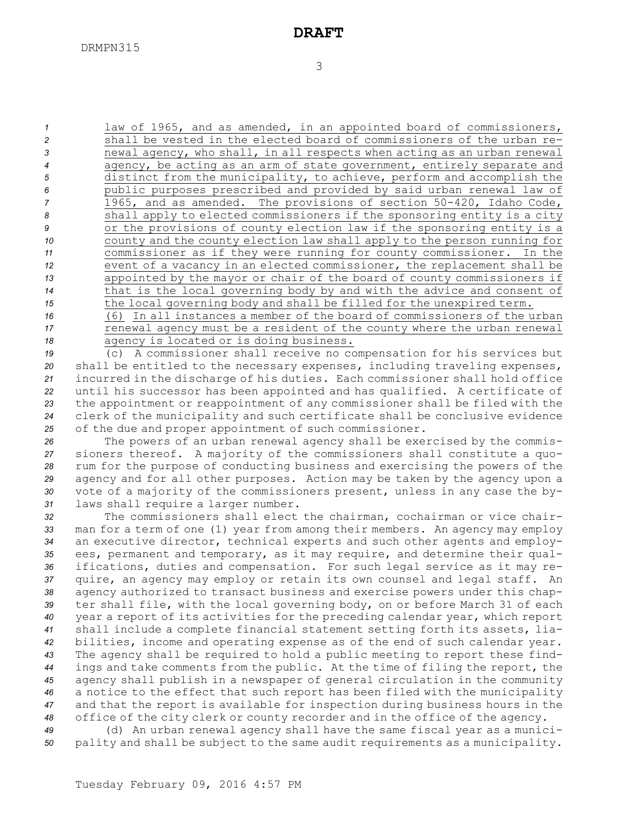3

 law of 1965, and as amended, in an appointed board of commissioners, shall be vested in the elected board of commissioners of the urban re- newal agency, who shall, in all respects when acting as an urban renewal agency, be acting as an arm of state government, entirely separate and distinct from the municipality, to achieve, perform and accomplish the public purposes prescribed and provided by said urban renewal law of 1965, and as amended. The provisions of section 50-420, Idaho Code, shall apply to elected commissioners if the sponsoring entity is <sup>a</sup> city or the provisions of county election law if the sponsoring entity is <sup>a</sup> county and the county election law shall apply to the person running for commissioner as if they were running for county commissioner. In the event of <sup>a</sup> vacancy in an elected commissioner, the replacement shall be appointed by the mayor or chair of the board of county commissioners if that is the local governing body by and with the advice and consent of the local governing body and shall be filled for the unexpired term. (6) In all instances <sup>a</sup> member of the board of commissioners of the urban

*<sup>17</sup>* renewal agency must be <sup>a</sup> resident of the county where the urban renewal *<sup>18</sup>* agency is located or is doing business.

 (c) <sup>A</sup> commissioner shall receive no compensation for his services but shall be entitled to the necessary expenses, including traveling expenses, incurred in the discharge of his duties. Each commissioner shall hold office until his successor has been appointed and has qualified. <sup>A</sup> certificate of the appointment or reappointment of any commissioner shall be filed with the clerk of the municipality and such certificate shall be conclusive evidence of the due and proper appointment of such commissioner.

 The powers of an urban renewal agency shall be exercised by the commis- sioners thereof. <sup>A</sup> majority of the commissioners shall constitute <sup>a</sup> quo- rum for the purpose of conducting business and exercising the powers of the agency and for all other purposes. Action may be taken by the agency upon <sup>a</sup> vote of <sup>a</sup> majority of the commissioners present, unless in any case the by-laws shall require <sup>a</sup> larger number.

 The commissioners shall elect the chairman, cochairman or vice chair- man for <sup>a</sup> term of one (1) year from among their members. An agency may employ an executive director, technical experts and such other agents and employ- ees, permanent and temporary, as it may require, and determine their qual- ifications, duties and compensation. For such legal service as it may re- quire, an agency may employ or retain its own counsel and legal staff. An agency authorized to transact business and exercise powers under this chap- ter shall file, with the local governing body, on or before March 31 of each year <sup>a</sup> report of its activities for the preceding calendar year, which report shall include <sup>a</sup> complete financial statement setting forth its assets, lia- bilities, income and operating expense as of the end of such calendar year. The agency shall be required to hold <sup>a</sup> public meeting to report these find- ings and take comments from the public. At the time of filing the report, the agency shall publish in <sup>a</sup> newspaper of general circulation in the community <sup>a</sup> notice to the effect that such report has been filed with the municipality and that the report is available for inspection during business hours in the office of the city clerk or county recorder and in the office of the agency.

*<sup>49</sup>* (d) An urban renewal agency shall have the same fiscal year as <sup>a</sup> munici-*<sup>50</sup>* pality and shall be subject to the same audit requirements as <sup>a</sup> municipality.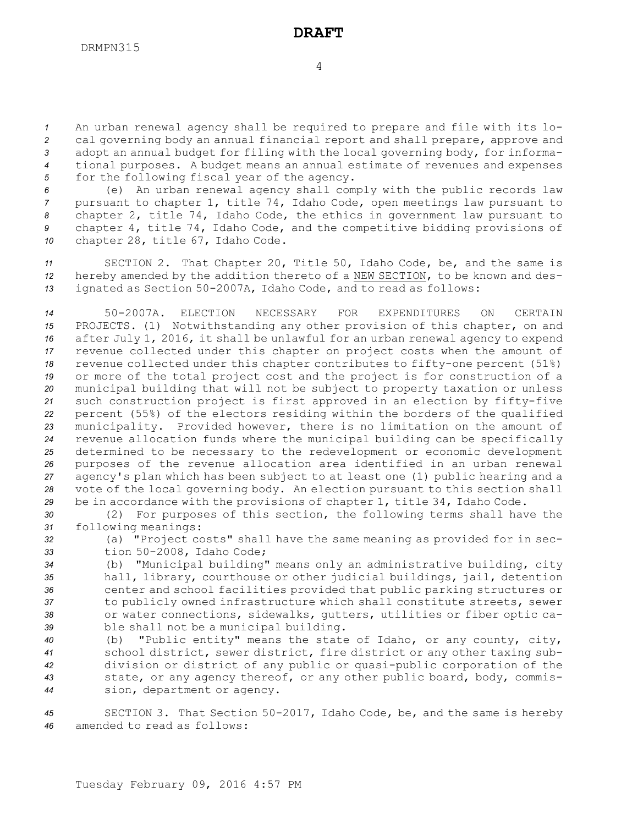An urban renewal agency shall be required to prepare and file with its lo- cal governing body an annual financial report and shall prepare, approve and adopt an annual budget for filing with the local governing body, for informa- tional purposes. <sup>A</sup> budget means an annual estimate of revenues and expenses for the following fiscal year of the agency.

 (e) An urban renewal agency shall comply with the public records law pursuant to chapter 1, title 74, Idaho Code, open meetings law pursuant to chapter 2, title 74, Idaho Code, the ethics in government law pursuant to chapter 4, title 74, Idaho Code, and the competitive bidding provisions of chapter 28, title 67, Idaho Code.

*<sup>11</sup>* SECTION 2. That Chapter 20, Title 50, Idaho Code, be, and the same is *<sup>12</sup>* hereby amended by the addition thereto of <sup>a</sup> NEW SECTION, to be known and des-*<sup>13</sup>* ignated as Section 50-2007A, Idaho Code, and to read as follows:

 50-2007A. ELECTION NECESSARY FOR EXPENDITURES ON CERTAIN PROJECTS. (1) Notwithstanding any other provision of this chapter, on and after July 1, 2016, it shall be unlawful for an urban renewal agency to expend revenue collected under this chapter on project costs when the amount of revenue collected under this chapter contributes to fifty-one percent (51%) or more of the total project cost and the project is for construction of <sup>a</sup> municipal building that will not be subject to property taxation or unless such construction project is first approved in an election by fifty-five percent (55%) of the electors residing within the borders of the qualified municipality. Provided however, there is no limitation on the amount of revenue allocation funds where the municipal building can be specifically determined to be necessary to the redevelopment or economic development purposes of the revenue allocation area identified in an urban renewal agency's plan which has been subject to at least one (1) public hearing and <sup>a</sup> vote of the local governing body. An election pursuant to this section shall be in accordance with the provisions of chapter 1, title 34, Idaho Code.

*<sup>30</sup>* (2) For purposes of this section, the following terms shall have the *<sup>31</sup>* following meanings:

*<sup>32</sup>* (a) "Project costs" shall have the same meaning as provided for in sec-*<sup>33</sup>* tion 50-2008, Idaho Code;

 (b) "Municipal building" means only an administrative building, city hall, library, courthouse or other judicial buildings, jail, detention center and school facilities provided that public parking structures or to publicly owned infrastructure which shall constitute streets, sewer or water connections, sidewalks, gutters, utilities or fiber optic ca-ble shall not be <sup>a</sup> municipal building.

 (b) "Public entity" means the state of Idaho, or any county, city, school district, sewer district, fire district or any other taxing sub- division or district of any public or quasi-public corporation of the state, or any agency thereof, or any other public board, body, commis-sion, department or agency.

*<sup>45</sup>* SECTION 3. That Section 50-2017, Idaho Code, be, and the same is hereby *46* amended to read as follows: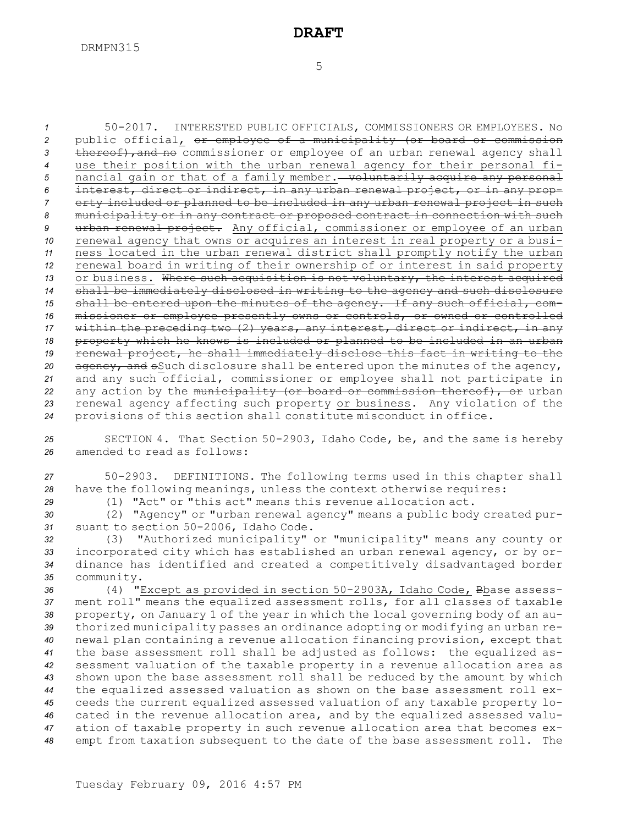50-2017. INTERESTED PUBLIC OFFICIALS, COMMISSIONERS OR EMPLOYEES. No public official, or employee of <sup>a</sup> municipality (or board or commission 3 thereof), and no commissioner or employee of an urban renewal agency shall use their position with the urban renewal agency for their personal fi-5 nancial gain or that of a family member. **voluntarily acquire any personal**  interest, direct or indirect, in any urban renewal project, or in any prop- erty included or planned to be included in any urban renewal project in such municipality or in any contract or proposed contract in connection with such urban renewal project. Any official, commissioner or employee of an urban renewal agency that owns or acquires an interest in real property or <sup>a</sup> busi- ness located in the urban renewal district shall promptly notify the urban renewal board in writing of their ownership of or interest in said property 13 or business. Where such acquisition is not voluntary, the interest acquired shall be immediately disclosed in writing to the agency and such disclosure shall be entered upon the minutes of the agency. If any such official, com- missioner or employee presently owns or controls, or owned or controlled within the preceding two (2) years, any interest, direct or indirect, in any property which he knows is included or planned to be included in an urban renewal project, he shall immediately disclose this fact in writing to the agency, and sSuch disclosure shall be entered upon the minutes of the agency, and any such official, commissioner or employee shall not participate in any action by the municipality (or board or commission thereof), or urban renewal agency affecting such property or business. Any violation of the provisions of this section shall constitute misconduct in office.

*<sup>25</sup>* SECTION 4. That Section 50-2903, Idaho Code, be, and the same is hereby *26* amended to read as follows:

*<sup>27</sup>* 50-2903. DEFINITIONS. The following terms used in this chapter shall *<sup>28</sup>* have the following meanings, unless the context otherwise requires:

*29* (1) "Act" or "this act" means this revenue allocation act.

*<sup>30</sup>* (2) "Agency" or "urban renewal agency" means <sup>a</sup> public body created pur-*<sup>31</sup>* suant to section 50-2006, Idaho Code.

 (3) "Authorized municipality" or "municipality" means any county or incorporated city which has established an urban renewal agency, or by or- dinance has identified and created <sup>a</sup> competitively disadvantaged border community.

 (4) "Except as provided in section 50-2903A, Idaho Code, Bbase assess- ment roll" means the equalized assessment rolls, for all classes of taxable property, on January 1 of the year in which the local governing body of an au- thorized municipality passes an ordinance adopting or modifying an urban re- newal plan containing <sup>a</sup> revenue allocation financing provision, except that the base assessment roll shall be adjusted as follows: the equalized as- sessment valuation of the taxable property in <sup>a</sup> revenue allocation area as shown upon the base assessment roll shall be reduced by the amount by which the equalized assessed valuation as shown on the base assessment roll ex- ceeds the current equalized assessed valuation of any taxable property lo- cated in the revenue allocation area, and by the equalized assessed valu- ation of taxable property in such revenue allocation area that becomes ex-empt from taxation subsequent to the date of the base assessment roll. The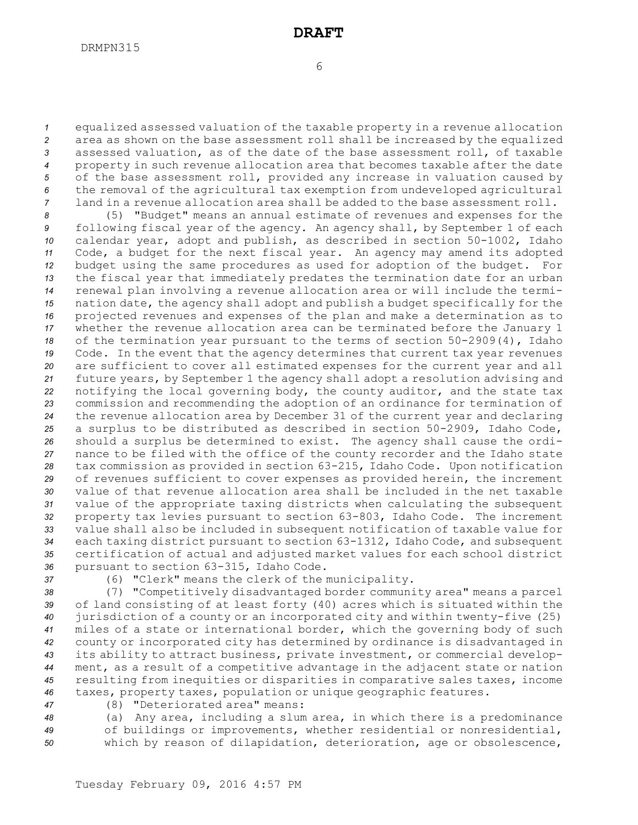equalized assessed valuation of the taxable property in <sup>a</sup> revenue allocation area as shown on the base assessment roll shall be increased by the equalized assessed valuation, as of the date of the base assessment roll, of taxable property in such revenue allocation area that becomes taxable after the date of the base assessment roll, provided any increase in valuation caused by the removal of the agricultural tax exemption from undeveloped agricultural land in <sup>a</sup> revenue allocation area shall be added to the base assessment roll.

 (5) "Budget" means an annual estimate of revenues and expenses for the following fiscal year of the agency. An agency shall, by September 1 of each calendar year, adopt and publish, as described in section 50-1002, Idaho Code, <sup>a</sup> budget for the next fiscal year. An agency may amend its adopted budget using the same procedures as used for adoption of the budget. For the fiscal year that immediately predates the termination date for an urban renewal plan involving <sup>a</sup> revenue allocation area or will include the termi- nation date, the agency shall adopt and publish <sup>a</sup> budget specifically for the projected revenues and expenses of the plan and make <sup>a</sup> determination as to whether the revenue allocation area can be terminated before the January 1 of the termination year pursuant to the terms of section 50-2909(4), Idaho Code. In the event that the agency determines that current tax year revenues are sufficient to cover all estimated expenses for the current year and all future years, by September 1 the agency shall adopt <sup>a</sup> resolution advising and notifying the local governing body, the county auditor, and the state tax commission and recommending the adoption of an ordinance for termination of the revenue allocation area by December 31 of the current year and declaring <sup>a</sup> surplus to be distributed as described in section 50-2909, Idaho Code, should <sup>a</sup> surplus be determined to exist. The agency shall cause the ordi- nance to be filed with the office of the county recorder and the Idaho state tax commission as provided in section 63-215, Idaho Code. Upon notification of revenues sufficient to cover expenses as provided herein, the increment value of that revenue allocation area shall be included in the net taxable value of the appropriate taxing districts when calculating the subsequent property tax levies pursuant to section 63-803, Idaho Code. The increment value shall also be included in subsequent notification of taxable value for each taxing district pursuant to section 63-1312, Idaho Code, and subsequent certification of actual and adjusted market values for each school district pursuant to section 63-315, Idaho Code.

*<sup>37</sup>* (6) "Clerk" means the clerk of the municipality.

 (7) "Competitively disadvantaged border community area" means <sup>a</sup> parcel of land consisting of at least forty (40) acres which is situated within the jurisdiction of <sup>a</sup> county or an incorporated city and within twenty-five (25) miles of <sup>a</sup> state or international border, which the governing body of such county or incorporated city has determined by ordinance is disadvantaged in its ability to attract business, private investment, or commercial develop- ment, as <sup>a</sup> result of <sup>a</sup> competitive advantage in the adjacent state or nation resulting from inequities or disparities in comparative sales taxes, income taxes, property taxes, population or unique geographic features.

*<sup>47</sup>* (8) "Deteriorated area" means:

*<sup>48</sup>* (a) Any area, including <sup>a</sup> slum area, in which there is <sup>a</sup> predominance *<sup>49</sup>* of buildings or improvements, whether residential or nonresidential,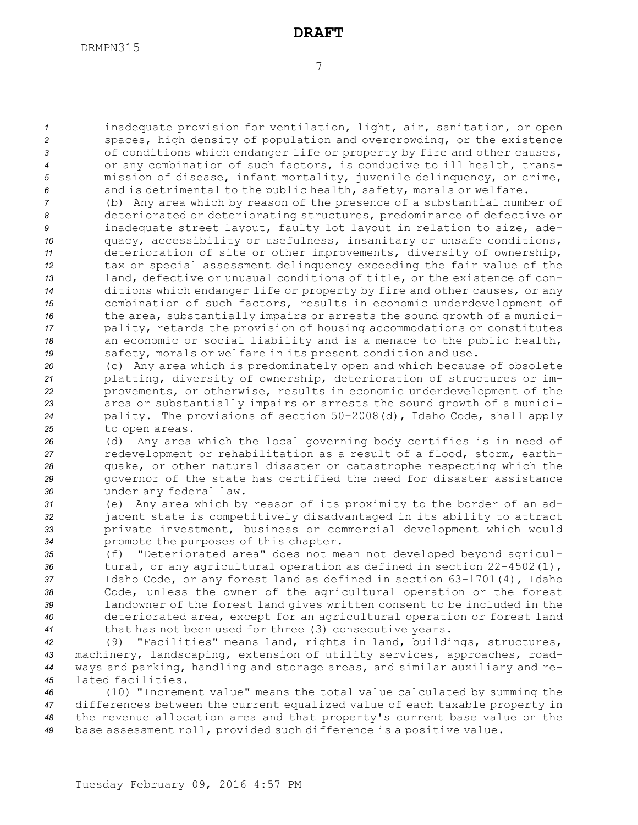inadequate provision for ventilation, light, air, sanitation, or open spaces, high density of population and overcrowding, or the existence of conditions which endanger life or property by fire and other causes, or any combination of such factors, is conducive to ill health, trans- mission of disease, infant mortality, juvenile delinquency, or crime, and is detrimental to the public health, safety, morals or welfare.

 (b) Any area which by reason of the presence of <sup>a</sup> substantial number of deteriorated or deteriorating structures, predominance of defective or inadequate street layout, faulty lot layout in relation to size, ade- quacy, accessibility or usefulness, insanitary or unsafe conditions, deterioration of site or other improvements, diversity of ownership, tax or special assessment delinquency exceeding the fair value of the land, defective or unusual conditions of title, or the existence of con- ditions which endanger life or property by fire and other causes, or any combination of such factors, results in economic underdevelopment of the area, substantially impairs or arrests the sound growth of <sup>a</sup> munici- pality, retards the provision of housing accommodations or constitutes an economic or social liability and is <sup>a</sup> menace to the public health, safety, morals or welfare in its present condition and use.

 (c) Any area which is predominately open and which because of obsolete platting, diversity of ownership, deterioration of structures or im- provements, or otherwise, results in economic underdevelopment of the area or substantially impairs or arrests the sound growth of <sup>a</sup> munici- pality. The provisions of section 50-2008(d), Idaho Code, shall apply to open areas.

 (d) Any area which the local governing body certifies is in need of redevelopment or rehabilitation as <sup>a</sup> result of <sup>a</sup> flood, storm, earth- quake, or other natural disaster or catastrophe respecting which the governor of the state has certified the need for disaster assistance under any federal law.

 (e) Any area which by reason of its proximity to the border of an ad- jacent state is competitively disadvantaged in its ability to attract private investment, business or commercial development which would promote the purposes of this chapter.

 (f) "Deteriorated area" does not mean not developed beyond agricul-36 tural, or any agricultural operation as defined in section 22-4502(1), Idaho Code, or any forest land as defined in section 63-1701(4), Idaho Code, unless the owner of the agricultural operation or the forest landowner of the forest land gives written consent to be included in the deteriorated area, except for an agricultural operation or forest land that has not been used for three (3) consecutive years.

 (9) "Facilities" means land, rights in land, buildings, structures, machinery, landscaping, extension of utility services, approaches, road- ways and parking, handling and storage areas, and similar auxiliary and re-lated facilities.

 (10) "Increment value" means the total value calculated by summing the differences between the current equalized value of each taxable property in the revenue allocation area and that property's current base value on the base assessment roll, provided such difference is <sup>a</sup> positive value.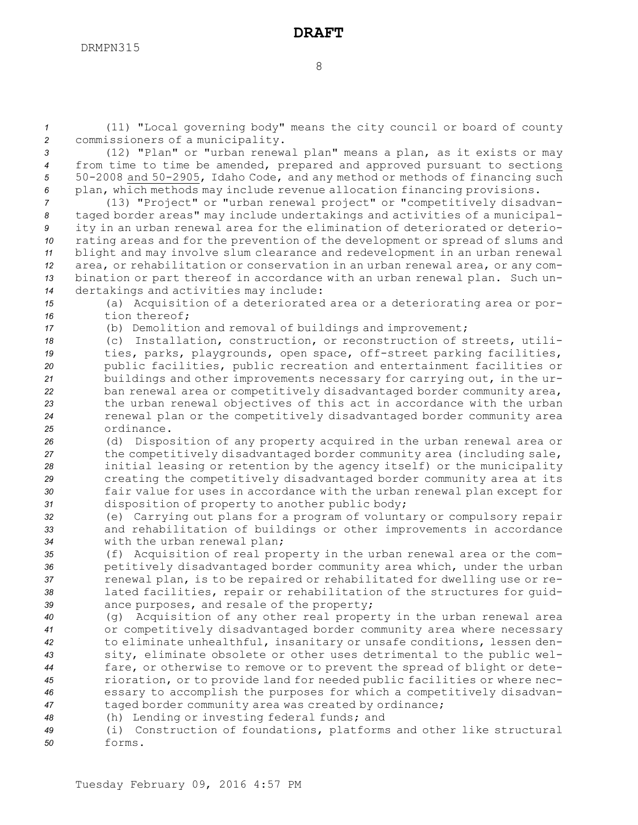*<sup>1</sup>* (11) "Local governing body" means the city council or board of county *<sup>2</sup>* commissioners of <sup>a</sup> municipality.

 (12) "Plan" or "urban renewal plan" means <sup>a</sup> plan, as it exists or may from time to time be amended, prepared and approved pursuant to sections 50-2008 and 50-2905, Idaho Code, and any method or methods of financing such plan, which methods may include revenue allocation financing provisions.

 (13) "Project" or "urban renewal project" or "competitively disadvan- taged border areas" may include undertakings and activities of <sup>a</sup> municipal- ity in an urban renewal area for the elimination of deteriorated or deterio- rating areas and for the prevention of the development or spread of slums and blight and may involve slum clearance and redevelopment in an urban renewal area, or rehabilitation or conservation in an urban renewal area, or any com- bination or part thereof in accordance with an urban renewal plan. Such un-dertakings and activities may include:

*<sup>15</sup>* (a) Acquisition of <sup>a</sup> deteriorated area or <sup>a</sup> deteriorating area or por-16 tion thereof;

*<sup>17</sup>* (b) Demolition and removal of buildings and improvement;

 (c) Installation, construction, or reconstruction of streets, utili- ties, parks, playgrounds, open space, off-street parking facilities, public facilities, public recreation and entertainment facilities or buildings and other improvements necessary for carrying out, in the ur- ban renewal area or competitively disadvantaged border community area, the urban renewal objectives of this act in accordance with the urban renewal plan or the competitively disadvantaged border community area ordinance.

 (d) Disposition of any property acquired in the urban renewal area or the competitively disadvantaged border community area (including sale, initial leasing or retention by the agency itself) or the municipality creating the competitively disadvantaged border community area at its fair value for uses in accordance with the urban renewal plan except for disposition of property to another public body;

*<sup>32</sup>* (e) Carrying out plans for <sup>a</sup> program of voluntary or compulsory repair *<sup>33</sup>* and rehabilitation of buildings or other improvements in accordance *<sup>34</sup>* with the urban renewal plan;

 (f) Acquisition of real property in the urban renewal area or the com- petitively disadvantaged border community area which, under the urban renewal plan, is to be repaired or rehabilitated for dwelling use or re- lated facilities, repair or rehabilitation of the structures for guid-ance purposes, and resale of the property;

 (g) Acquisition of any other real property in the urban renewal area or competitively disadvantaged border community area where necessary to eliminate unhealthful, insanitary or unsafe conditions, lessen den- sity, eliminate obsolete or other uses detrimental to the public wel- fare, or otherwise to remove or to prevent the spread of blight or dete- rioration, or to provide land for needed public facilities or where nec- essary to accomplish the purposes for which <sup>a</sup> competitively disadvan-taged border community area was created by ordinance;

*<sup>48</sup>* (h) Lending or investing federal funds; and

*<sup>49</sup>* (i) Construction of foundations, platforms and other like structural *50* forms.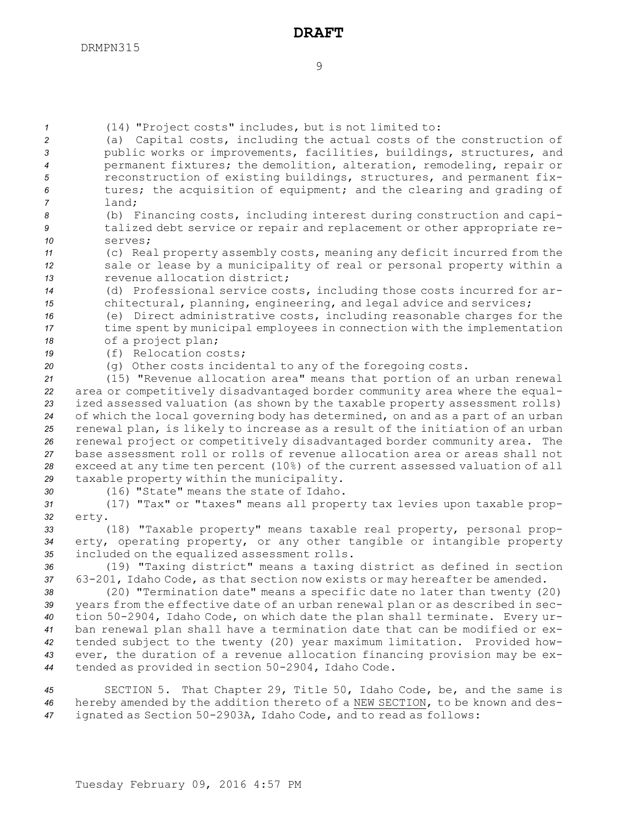*<sup>1</sup>* (14) "Project costs" includes, but is not limited to:

- *<sup>2</sup>* (a) Capital costs, including the actual costs of the construction of *<sup>3</sup>* public works or improvements, facilities, buildings, structures, and *<sup>4</sup>* permanent fixtures; the demolition, alteration, remodeling, repair or *<sup>5</sup>* reconstruction of existing buildings, structures, and permanent fix-*<sup>6</sup>* tures; the acquisition of equipment; and the clearing and grading of *7* land;
- *<sup>8</sup>* (b) Financing costs, including interest during construction and capi-*<sup>9</sup>* talized debt service or repair and replacement or other appropriate re-*10* serves;
- *<sup>11</sup>* (c) Real property assembly costs, meaning any deficit incurred from the *<sup>12</sup>* sale or lease by <sup>a</sup> municipality of real or personal property within <sup>a</sup> *13* revenue allocation district;
- *<sup>14</sup>* (d) Professional service costs, including those costs incurred for ar-*<sup>15</sup>* chitectural, planning, engineering, and legal advice and services;
- *<sup>16</sup>* (e) Direct administrative costs, including reasonable charges for the *<sup>17</sup>* time spent by municipal employees in connection with the implementation *<sup>18</sup>* of <sup>a</sup> project plan;
- *19* (f) Relocation costs;
- *<sup>20</sup>* (g) Other costs incidental to any of the foregoing costs.
- *<sup>21</sup>* (15) "Revenue allocation area" means that portion of an urban renewal *<sup>22</sup>* area or competitively disadvantaged border community area where the equal-*<sup>23</sup>* ized assessed valuation (as shown by the taxable property assessment rolls) *<sup>24</sup>* of which the local governing body has determined, on and as <sup>a</sup> part of an urban *<sup>25</sup>* renewal plan, is likely to increase as <sup>a</sup> result of the initiation of an urban *<sup>26</sup>* renewal project or competitively disadvantaged border community area. The *27* base assessment roll or rolls of revenue allocation area or areas shall not *<sup>28</sup>* exceed at any time ten percent (10%) of the current assessed valuation of all *<sup>29</sup>* taxable property within the municipality.
- 
- *30* (16) "State" means the state of Idaho.
- *<sup>31</sup>* (17) "Tax" or "taxes" means all property tax levies upon taxable prop-*32* erty.
- *<sup>33</sup>* (18) "Taxable property" means taxable real property, personal prop-*<sup>34</sup>* erty, operating property, or any other tangible or intangible property *<sup>35</sup>* included on the equalized assessment rolls.
- *<sup>36</sup>* (19) "Taxing district" means <sup>a</sup> taxing district as defined in section *<sup>37</sup>* 63-201, Idaho Code, as that section now exists or may hereafter be amended.
- *<sup>38</sup>* (20) "Termination date" means <sup>a</sup> specific date no later than twenty (20) *<sup>39</sup>* years from the effective date of an urban renewal plan or as described in sec-*<sup>40</sup>* tion 50-2904, Idaho Code, on which date the plan shall terminate. Every ur-*<sup>41</sup>* ban renewal plan shall have <sup>a</sup> termination date that can be modified or ex-*<sup>42</sup>* tended subject to the twenty (20) year maximum limitation. Provided how-*<sup>43</sup>* ever, the duration of <sup>a</sup> revenue allocation financing provision may be ex-*<sup>44</sup>* tended as provided in section 50-2904, Idaho Code.
- *<sup>45</sup>* SECTION 5. That Chapter 29, Title 50, Idaho Code, be, and the same is *<sup>46</sup>* hereby amended by the addition thereto of <sup>a</sup> NEW SECTION, to be known and des-*<sup>47</sup>* ignated as Section 50-2903A, Idaho Code, and to read as follows: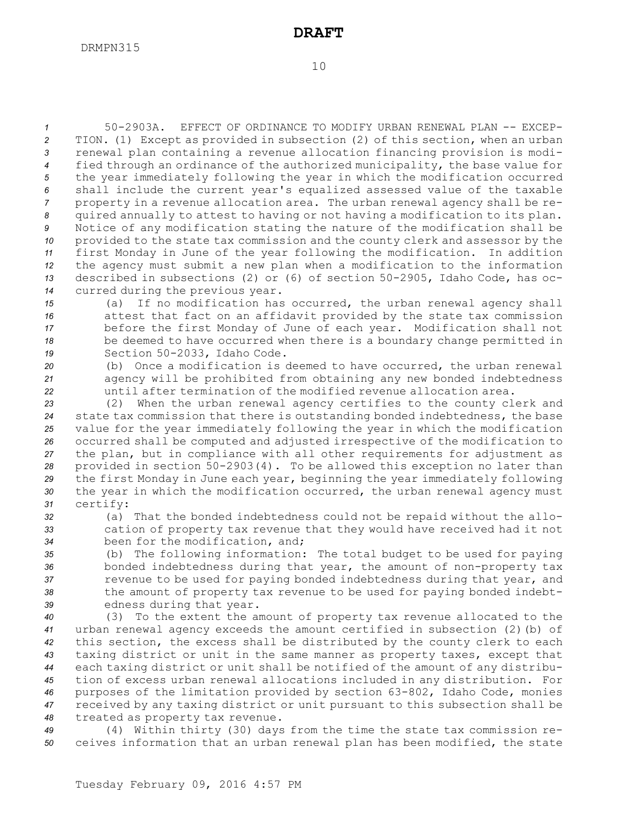50-2903A. EFFECT OF ORDINANCE TO MODIFY URBAN RENEWAL PLAN -- EXCEP- TION. (1) Except as provided in subsection (2) of this section, when an urban renewal plan containing <sup>a</sup> revenue allocation financing provision is modi- fied through an ordinance of the authorized municipality, the base value for the year immediately following the year in which the modification occurred shall include the current year's equalized assessed value of the taxable property in <sup>a</sup> revenue allocation area. The urban renewal agency shall be re- quired annually to attest to having or not having <sup>a</sup> modification to its plan. Notice of any modification stating the nature of the modification shall be provided to the state tax commission and the county clerk and assessor by the first Monday in June of the year following the modification. In addition the agency must submit <sup>a</sup> new plan when <sup>a</sup> modification to the information described in subsections (2) or (6) of section 50-2905, Idaho Code, has oc-curred during the previous year.

 (a) If no modification has occurred, the urban renewal agency shall attest that fact on an affidavit provided by the state tax commission before the first Monday of June of each year. Modification shall not be deemed to have occurred when there is <sup>a</sup> boundary change permitted in Section 50-2033, Idaho Code.

*<sup>20</sup>* (b) Once <sup>a</sup> modification is deemed to have occurred, the urban renewal *<sup>21</sup>* agency will be prohibited from obtaining any new bonded indebtedness *22* until after termination of the modified revenue allocation area.

 (2) When the urban renewal agency certifies to the county clerk and state tax commission that there is outstanding bonded indebtedness, the base value for the year immediately following the year in which the modification occurred shall be computed and adjusted irrespective of the modification to the plan, but in compliance with all other requirements for adjustment as provided in section 50-2903(4). To be allowed this exception no later than the first Monday in June each year, beginning the year immediately following the year in which the modification occurred, the urban renewal agency must *<sup>31</sup>* certify:

*<sup>32</sup>* (a) That the bonded indebtedness could not be repaid without the allo-*<sup>33</sup>* cation of property tax revenue that they would have received had it not *<sup>34</sup>* been for the modification, and;

 (b) The following information: The total budget to be used for paying bonded indebtedness during that year, the amount of non-property tax revenue to be used for paying bonded indebtedness during that year, and the amount of property tax revenue to be used for paying bonded indebt-edness during that year.

 (3) To the extent the amount of property tax revenue allocated to the urban renewal agency exceeds the amount certified in subsection (2)(b) of this section, the excess shall be distributed by the county clerk to each taxing district or unit in the same manner as property taxes, except that each taxing district or unit shall be notified of the amount of any distribu- tion of excess urban renewal allocations included in any distribution. For purposes of the limitation provided by section 63-802, Idaho Code, monies received by any taxing district or unit pursuant to this subsection shall be treated as property tax revenue.

*<sup>49</sup>* (4) Within thirty (30) days from the time the state tax commission re-*<sup>50</sup>* ceives information that an urban renewal plan has been modified, the state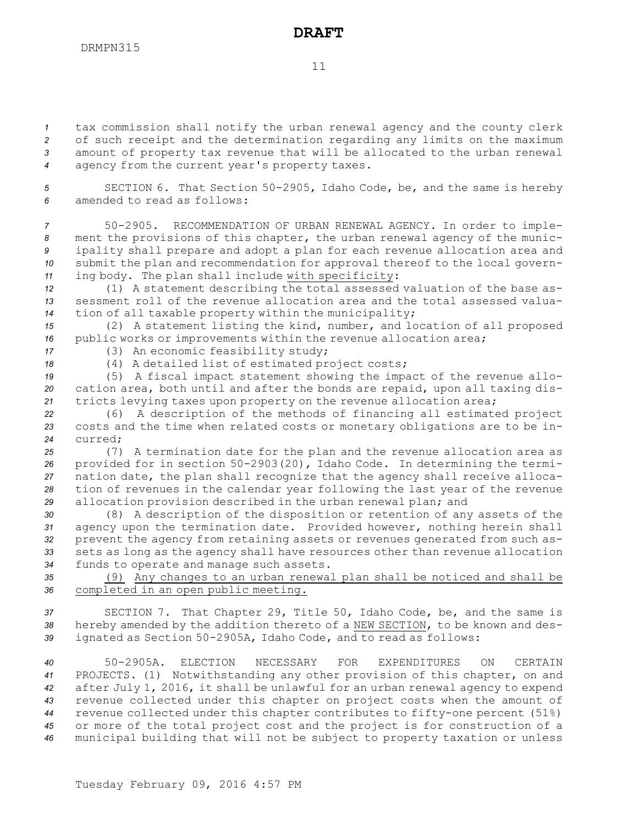11

 tax commission shall notify the urban renewal agency and the county clerk of such receipt and the determination regarding any limits on the maximum amount of property tax revenue that will be allocated to the urban renewal agency from the current year's property taxes.

*<sup>5</sup>* SECTION 6. That Section 50-2905, Idaho Code, be, and the same is hereby *6* amended to read as follows:

 50-2905. RECOMMENDATION OF URBAN RENEWAL AGENCY. In order to imple- ment the provisions of this chapter, the urban renewal agency of the munic- ipality shall prepare and adopt <sup>a</sup> plan for each revenue allocation area and submit the plan and recommendation for approval thereof to the local govern-ing body. The plan shall include with specificity:

*<sup>12</sup>* (1) <sup>A</sup> statement describing the total assessed valuation of the base as-*13* sessment roll of the revenue allocation area and the total assessed valua-*<sup>14</sup>* tion of all taxable property within the municipality;

*<sup>15</sup>* (2) <sup>A</sup> statement listing the kind, number, and location of all proposed *<sup>16</sup>* public works or improvements within the revenue allocation area;

*<sup>17</sup>* (3) An economic feasibility study;

*<sup>18</sup>* (4) <sup>A</sup> detailed list of estimated project costs;

*<sup>19</sup>* (5) <sup>A</sup> fiscal impact statement showing the impact of the revenue allo-*<sup>20</sup>* cation area, both until and after the bonds are repaid, upon all taxing dis-*<sup>21</sup>* tricts levying taxes upon property on the revenue allocation area;

*<sup>22</sup>* (6) <sup>A</sup> description of the methods of financing all estimated project *<sup>23</sup>* costs and the time when related costs or monetary obligations are to be in-*24* curred;

 (7) <sup>A</sup> termination date for the plan and the revenue allocation area as provided for in section 50-2903(20), Idaho Code. In determining the termi- nation date, the plan shall recognize that the agency shall receive alloca- tion of revenues in the calendar year following the last year of the revenue allocation provision described in the urban renewal plan; and

 (8) <sup>A</sup> description of the disposition or retention of any assets of the agency upon the termination date. Provided however, nothing herein shall prevent the agency from retaining assets or revenues generated from such as- sets as long as the agency shall have resources other than revenue allocation funds to operate and manage such assets.

*<sup>35</sup>* (9) Any changes to an urban renewal plan shall be noticed and shall be *<sup>36</sup>* completed in an open public meeting.

*<sup>37</sup>* SECTION 7. That Chapter 29, Title 50, Idaho Code, be, and the same is *<sup>38</sup>* hereby amended by the addition thereto of <sup>a</sup> NEW SECTION, to be known and des-*<sup>39</sup>* ignated as Section 50-2905A, Idaho Code, and to read as follows:

 50-2905A. ELECTION NECESSARY FOR EXPENDITURES ON CERTAIN PROJECTS. (1) Notwithstanding any other provision of this chapter, on and after July 1, 2016, it shall be unlawful for an urban renewal agency to expend revenue collected under this chapter on project costs when the amount of revenue collected under this chapter contributes to fifty-one percent (51%) or more of the total project cost and the project is for construction of <sup>a</sup> municipal building that will not be subject to property taxation or unless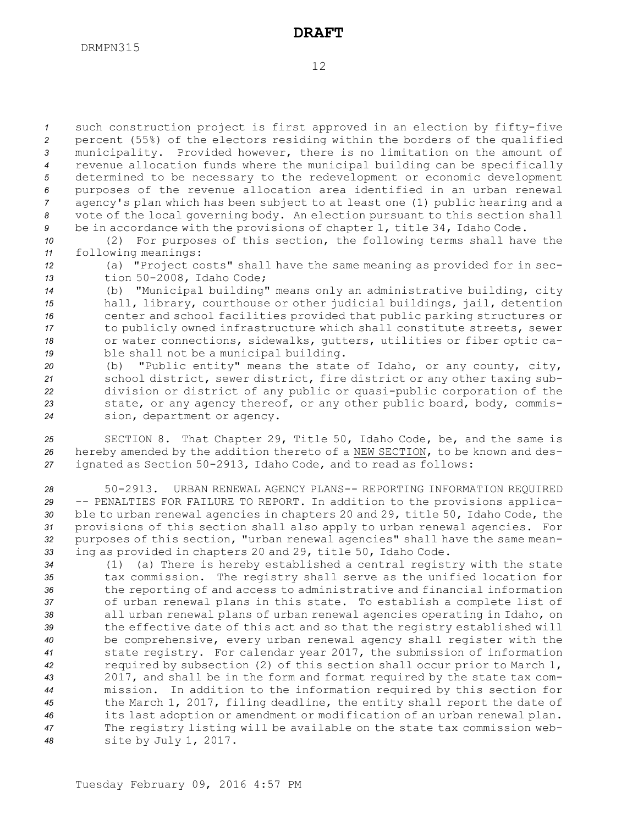such construction project is first approved in an election by fifty-five percent (55%) of the electors residing within the borders of the qualified municipality. Provided however, there is no limitation on the amount of revenue allocation funds where the municipal building can be specifically determined to be necessary to the redevelopment or economic development purposes of the revenue allocation area identified in an urban renewal agency's plan which has been subject to at least one (1) public hearing and <sup>a</sup> vote of the local governing body. An election pursuant to this section shall be in accordance with the provisions of chapter 1, title 34, Idaho Code.

*<sup>10</sup>* (2) For purposes of this section, the following terms shall have the *<sup>11</sup>* following meanings:

*<sup>12</sup>* (a) "Project costs" shall have the same meaning as provided for in sec-*<sup>13</sup>* tion 50-2008, Idaho Code;

 (b) "Municipal building" means only an administrative building, city hall, library, courthouse or other judicial buildings, jail, detention center and school facilities provided that public parking structures or to publicly owned infrastructure which shall constitute streets, sewer or water connections, sidewalks, gutters, utilities or fiber optic ca-ble shall not be <sup>a</sup> municipal building.

 (b) "Public entity" means the state of Idaho, or any county, city, school district, sewer district, fire district or any other taxing sub- division or district of any public or quasi-public corporation of the state, or any agency thereof, or any other public board, body, commis-sion, department or agency.

*<sup>25</sup>* SECTION 8. That Chapter 29, Title 50, Idaho Code, be, and the same is *<sup>26</sup>* hereby amended by the addition thereto of <sup>a</sup> NEW SECTION, to be known and des-*<sup>27</sup>* ignated as Section 50-2913, Idaho Code, and to read as follows:

 50-2913. URBAN RENEWAL AGENCY PLANS-- REPORTING INFORMATION REQUIRED -- PENALTIES FOR FAILURE TO REPORT. In addition to the provisions applica- ble to urban renewal agencies in chapters 20 and 29, title 50, Idaho Code, the provisions of this section shall also apply to urban renewal agencies. For purposes of this section, "urban renewal agencies" shall have the same mean-ing as provided in chapters 20 and 29, title 50, Idaho Code.

 (1) (a) There is hereby established <sup>a</sup> central registry with the state tax commission. The registry shall serve as the unified location for the reporting of and access to administrative and financial information of urban renewal plans in this state. To establish <sup>a</sup> complete list of all urban renewal plans of urban renewal agencies operating in Idaho, on the effective date of this act and so that the registry established will be comprehensive, every urban renewal agency shall register with the state registry. For calendar year 2017, the submission of information required by subsection (2) of this section shall occur prior to March 1, 2017, and shall be in the form and format required by the state tax com- mission. In addition to the information required by this section for the March 1, 2017, filing deadline, the entity shall report the date of its last adoption or amendment or modification of an urban renewal plan. The registry listing will be available on the state tax commission web-site by July 1, 2017.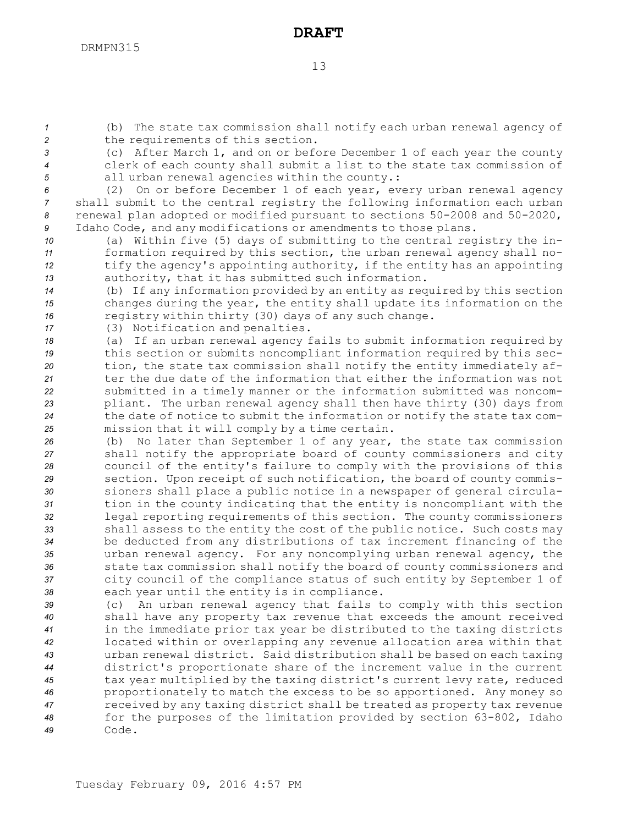*<sup>1</sup>* (b) The state tax commission shall notify each urban renewal agency of *<sup>2</sup>* the requirements of this section.

*<sup>3</sup>* (c) After March 1, and on or before December 1 of each year the county *<sup>4</sup>* clerk of each county shall submit <sup>a</sup> list to the state tax commission of *<sup>5</sup>* all urban renewal agencies within the county.:

 (2) On or before December 1 of each year, every urban renewal agency shall submit to the central registry the following information each urban renewal plan adopted or modified pursuant to sections 50-2008 and 50-2020, Idaho Code, and any modifications or amendments to those plans.

 (a) Within five (5) days of submitting to the central registry the in- formation required by this section, the urban renewal agency shall no- tify the agency's appointing authority, if the entity has an appointing authority, that it has submitted such information.

*<sup>14</sup>* (b) If any information provided by an entity as required by this section *<sup>15</sup>* changes during the year, the entity shall update its information on the *<sup>16</sup>* registry within thirty (30) days of any such change.

*<sup>17</sup>* (3) Notification and penalties.

 (a) If an urban renewal agency fails to submit information required by this section or submits noncompliant information required by this sec- tion, the state tax commission shall notify the entity immediately af- ter the due date of the information that either the information was not submitted in <sup>a</sup> timely manner or the information submitted was noncom- pliant. The urban renewal agency shall then have thirty (30) days from the date of notice to submit the information or notify the state tax com-mission that it will comply by <sup>a</sup> time certain.

 (b) No later than September 1 of any year, the state tax commission shall notify the appropriate board of county commissioners and city council of the entity's failure to comply with the provisions of this section. Upon receipt of such notification, the board of county commis- sioners shall place <sup>a</sup> public notice in <sup>a</sup> newspaper of general circula- tion in the county indicating that the entity is noncompliant with the legal reporting requirements of this section. The county commissioners shall assess to the entity the cost of the public notice. Such costs may be deducted from any distributions of tax increment financing of the urban renewal agency. For any noncomplying urban renewal agency, the state tax commission shall notify the board of county commissioners and city council of the compliance status of such entity by September 1 of each year until the entity is in compliance.

 (c) An urban renewal agency that fails to comply with this section shall have any property tax revenue that exceeds the amount received in the immediate prior tax year be distributed to the taxing districts located within or overlapping any revenue allocation area within that urban renewal district. Said distribution shall be based on each taxing district's proportionate share of the increment value in the current tax year multiplied by the taxing district's current levy rate, reduced proportionately to match the excess to be so apportioned. Any money so received by any taxing district shall be treated as property tax revenue for the purposes of the limitation provided by section 63-802, Idaho *49* Code.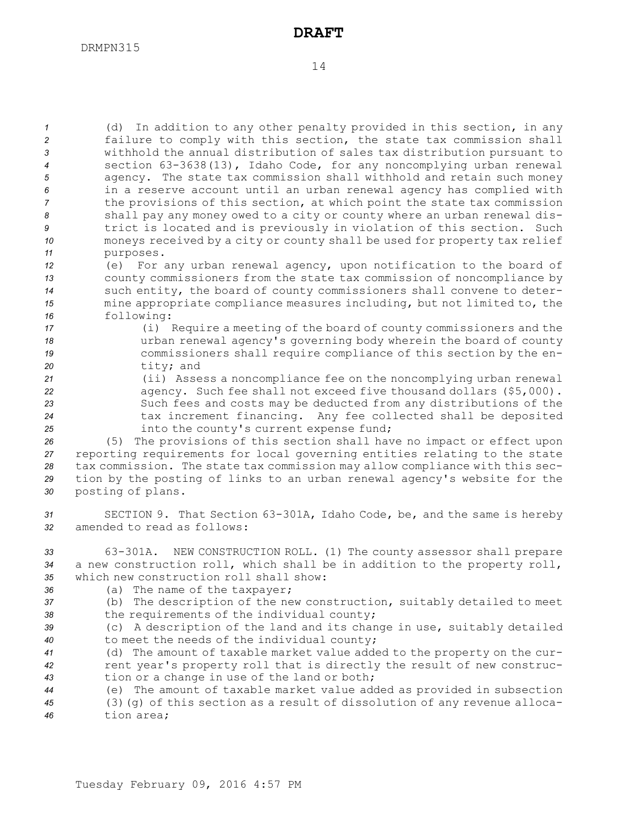(d) In addition to any other penalty provided in this section, in any failure to comply with this section, the state tax commission shall withhold the annual distribution of sales tax distribution pursuant to section 63-3638(13), Idaho Code, for any noncomplying urban renewal agency. The state tax commission shall withhold and retain such money in <sup>a</sup> reserve account until an urban renewal agency has complied with the provisions of this section, at which point the state tax commission shall pay any money owed to <sup>a</sup> city or county where an urban renewal dis- trict is located and is previously in violation of this section. Such moneys received by <sup>a</sup> city or county shall be used for property tax relief purposes.

 (e) For any urban renewal agency, upon notification to the board of county commissioners from the state tax commission of noncompliance by such entity, the board of county commissioners shall convene to deter- mine appropriate compliance measures including, but not limited to, the following:

 (i) Require <sup>a</sup> meeting of the board of county commissioners and the urban renewal agency's governing body wherein the board of county commissioners shall require compliance of this section by the en-tity; and

 (ii) Assess <sup>a</sup> noncompliance fee on the noncomplying urban renewal agency. Such fee shall not exceed five thousand dollars (\$5,000). Such fees and costs may be deducted from any distributions of the tax increment financing. Any fee collected shall be deposited **into the county's current expense fund;** 

 (5) The provisions of this section shall have no impact or effect upon reporting requirements for local governing entities relating to the state tax commission. The state tax commission may allow compliance with this sec- tion by the posting of links to an urban renewal agency's website for the posting of plans.

*<sup>31</sup>* SECTION 9. That Section 63-301A, Idaho Code, be, and the same is hereby *32* amended to read as follows:

*<sup>33</sup>* 63-301A. NEW CONSTRUCTION ROLL. (1) The county assessor shall prepare *<sup>34</sup>* <sup>a</sup> new construction roll, which shall be in addition to the property roll, *35* which new construction roll shall show:

- *<sup>36</sup>* (a) The name of the taxpayer;
- *<sup>37</sup>* (b) The description of the new construction, suitably detailed to meet *<sup>38</sup>* the requirements of the individual county;
- *<sup>39</sup>* (c) <sup>A</sup> description of the land and its change in use, suitably detailed *<sup>40</sup>* to meet the needs of the individual county;

*<sup>41</sup>* (d) The amount of taxable market value added to the property on the cur-*<sup>42</sup>* rent year's property roll that is directly the result of new construc-*<sup>43</sup>* tion or <sup>a</sup> change in use of the land or both;

*<sup>44</sup>* (e) The amount of taxable market value added as provided in subsection *<sup>45</sup>* (3)(g) of this section as <sup>a</sup> result of dissolution of any revenue alloca-*46* tion area;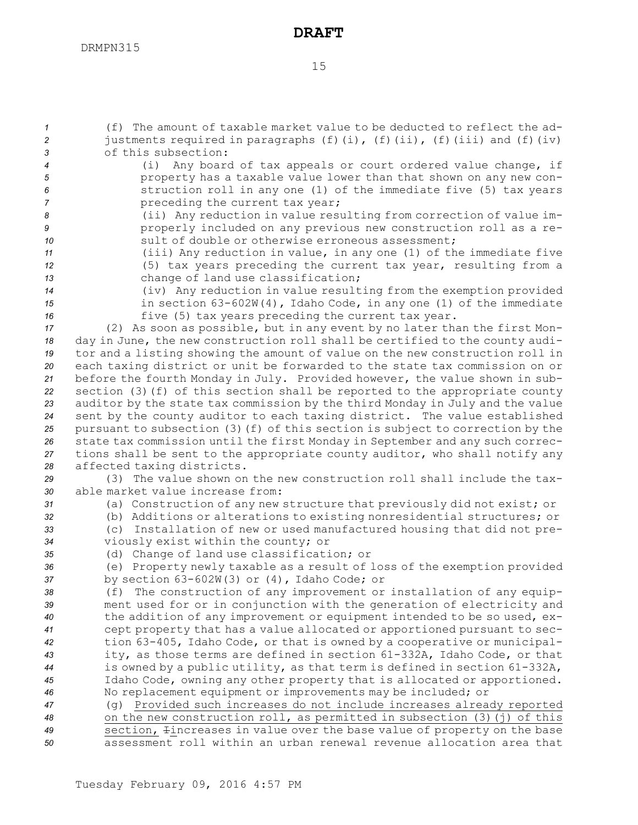(f) The amount of taxable market value to be deducted to reflect the ad- justments required in paragraphs (f)(i), (f)(ii), (f)(iii) and (f)(iv) of this subsection: (i) Any board of tax appeals or court ordered value change, if property has <sup>a</sup> taxable value lower than that shown on any new con- struction roll in any one (1) of the immediate five (5) tax years *Preceding the current tax year;*  (ii) Any reduction in value resulting from correction of value im- properly included on any previous new construction roll as <sup>a</sup> re-**sult of double or otherwise erroneous assessment;**  (iii) Any reduction in value, in any one (1) of the immediate five (5) tax years preceding the current tax year, resulting from <sup>a</sup> change of land use classification; (iv) Any reduction in value resulting from the exemption provided in section 63-602W(4), Idaho Code, in any one (1) of the immediate five (5) tax years preceding the current tax year. (2) As soon as possible, but in any event by no later than the first Mon- day in June, the new construction roll shall be certified to the county audi- tor and <sup>a</sup> listing showing the amount of value on the new construction roll in each taxing district or unit be forwarded to the state tax commission on or before the fourth Monday in July. Provided however, the value shown in sub- section (3)(f) of this section shall be reported to the appropriate county auditor by the state tax commission by the third Monday in July and the value sent by the county auditor to each taxing district. The value established pursuant to subsection (3)(f) of this section is subject to correction by the state tax commission until the first Monday in September and any such correc- tions shall be sent to the appropriate county auditor, who shall notify any affected taxing districts. (3) The value shown on the new construction roll shall include the tax- able market value increase from: (a) Construction of any new structure that previously did not exist; or (b) Additions or alterations to existing nonresidential structures; or (c) Installation of new or used manufactured housing that did not pre- viously exist within the county; or (d) Change of land use classification; or (e) Property newly taxable as <sup>a</sup> result of loss of the exemption provided by section 63-602W(3) or (4), Idaho Code; or (f) The construction of any improvement or installation of any equip- ment used for or in conjunction with the generation of electricity and the addition of any improvement or equipment intended to be so used, ex- cept property that has <sup>a</sup> value allocated or apportioned pursuant to sec- tion 63-405, Idaho Code, or that is owned by <sup>a</sup> cooperative or municipal- ity, as those terms are defined in section 61-332A, Idaho Code, or that is owned by <sup>a</sup> public utility, as that term is defined in section 61-332A, Idaho Code, owning any other property that is allocated or apportioned. No replacement equipment or improvements may be included; or (g) Provided such increases do not include increases already reported on the new construction roll, as permitted in subsection (3)(j) of this section, Iincreases in value over the base value of property on the base assessment roll within an urban renewal revenue allocation area that